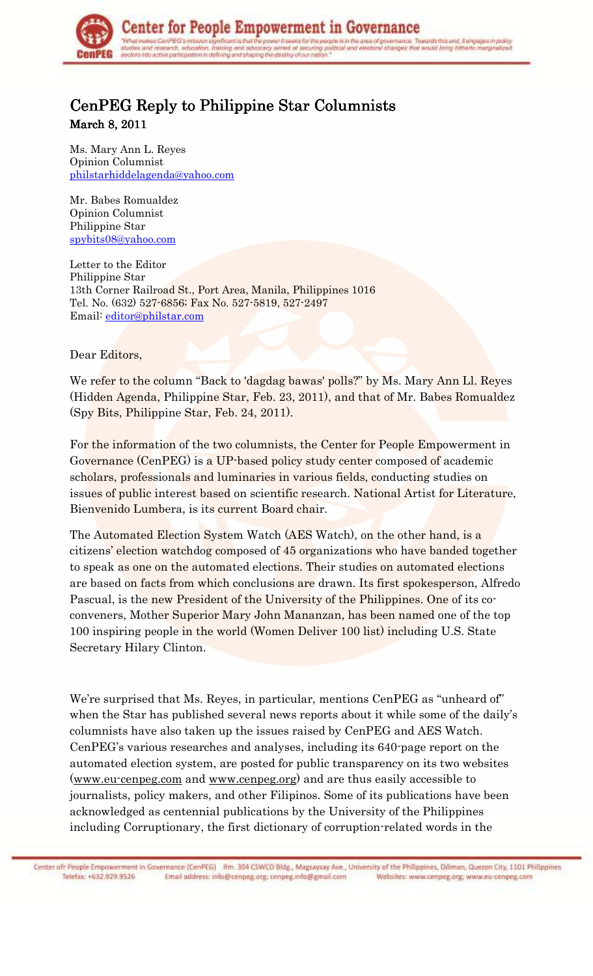

## CenPEG Reply to Philippine Star Columnists

March 8, 2011

Ms. Mary Ann L. Reyes Opinion Columnist philstarhiddelagenda@yahoo.com

Mr. Babes Romualdez Opinion Columnist Philippine Star spybits08@yahoo.com

Letter to the Editor Philippine Star 13th Corner Railroad St., Port Area, Manila, Philippines 1016 Tel. No. (632) 527-6856; Fax No. 527-5819, 527-2497 Email: editor@philstar.com

Dear Editors,

We refer to the column "Back to 'dagdag bawas' polls?" by Ms. Mary Ann Ll. Reyes (Hidden Agenda, Philippine Star, Feb. 23, 2011), and that of Mr. Babes Romualdez (Spy Bits, Philippine Star, Feb. 24, 2011).

For the information of the two columnists, the Center for People Empowerment in Governance (CenPEG) is a UP-based policy study center composed of academic scholars, professionals and luminaries in various fields, conducting studies on issues of public interest based on scientific research. National Artist for Literature, Bienvenido Lumbera, is its current Board chair.

The Automated Election System Watch (AES Watch), on the other hand, is a citizens' election watchdog composed of 45 organizations who have banded together to speak as one on the automated elections. Their studies on automated elections are based on facts from which conclusions are drawn. Its first spokesperson, Alfredo Pascual, is the new President of the University of the Philippines. One of its coconveners, Mother Superior Mary John Mananzan, has been named one of the top 100 inspiring people in the world (Women Deliver 100 list) including U.S. State Secretary Hilary Clinton.

We're surprised that Ms. Reyes, in particular, mentions CenPEG as "unheard of" when the Star has published several news reports about it while some of the daily's columnists have also taken up the issues raised by CenPEG and AES Watch. CenPEG's various researches and analyses, including its 640-page report on the automated election system, are posted for public transparency on its two websites (www.eu-cenpeg.com and www.cenpeg.org) and are thus easily accessible to journalists, policy makers, and other Filipinos. Some of its publications have been acknowledged as centennial publications by the University of the Philippines including Corruptionary, the first dictionary of corruption-related words in the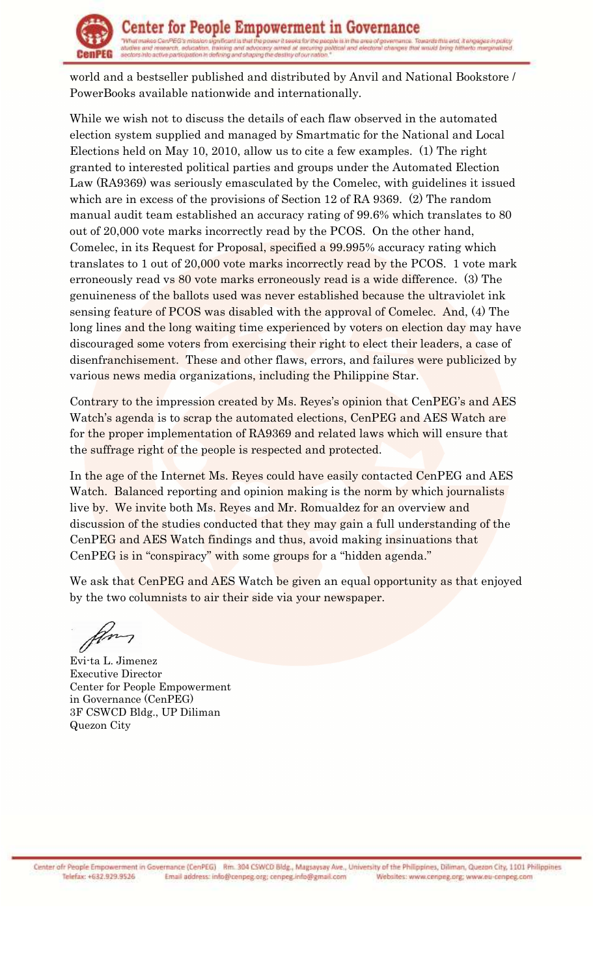

world and a bestseller published and distributed by Anvil and National Bookstore / PowerBooks available nationwide and internationally.

While we wish not to discuss the details of each flaw observed in the automated election system supplied and managed by Smartmatic for the National and Local Elections held on May 10, 2010, allow us to cite a few examples. (1) The right granted to interested political parties and groups under the Automated Election Law (RA9369) was seriously emasculated by the Comelec, with guidelines it issued which are in excess of the provisions of Section 12 of RA 9369. (2) The random manual audit team established an accuracy rating of 99.6% which translates to 80 out of 20,000 vote marks incorrectly read by the PCOS. On the other hand, Comelec, in its Request for Proposal, specified a 99.995% accuracy rating which translates to 1 out of 20,000 vote marks incorrectly read by the PCOS. 1 vote mark erroneously read vs 80 vote marks erroneously read is a wide difference. (3) The genuineness of the ballots used was never established because the ultraviolet ink sensing feature of PCOS was disabled with the approval of Comelec. And, (4) The long lines and the long waiting time experienced by voters on election day may have discouraged some voters from exercising their right to elect their leaders, a case of disenfranchisement. These and other flaws, errors, and failures were publicized by various news media organizations, including the Philippine Star.

Contrary to the impression created by Ms. Reyes's opinion that CenPEG's and AES Watch's agenda is to scrap the automated elections, CenPEG and AES Watch are for the proper implementation of RA9369 and related laws which will ensure that the suffrage right of the people is respected and protected.

In the age of the Internet Ms. Reyes could have easily contacted CenPEG and AES Watch. Balanced reporting and opinion making is the norm by which journalists live by. We invite both Ms. Reyes and Mr. Romualdez for an overview and discussion of the studies conducted that they may gain a full understanding of the CenPEG and AES Watch findings and thus, avoid making insinuations that CenPEG is in "conspiracy" with some groups for a "hidden agenda."

We ask that CenPEG and AES Watch be given an equal opportunity as that enjoyed by the two columnists to air their side via your newspaper.

gm

Evi-ta L. Jimenez Executive Director Center for People Empowerment in Governance (CenPEG) 3F CSWCD Bldg., UP Diliman Quezon City